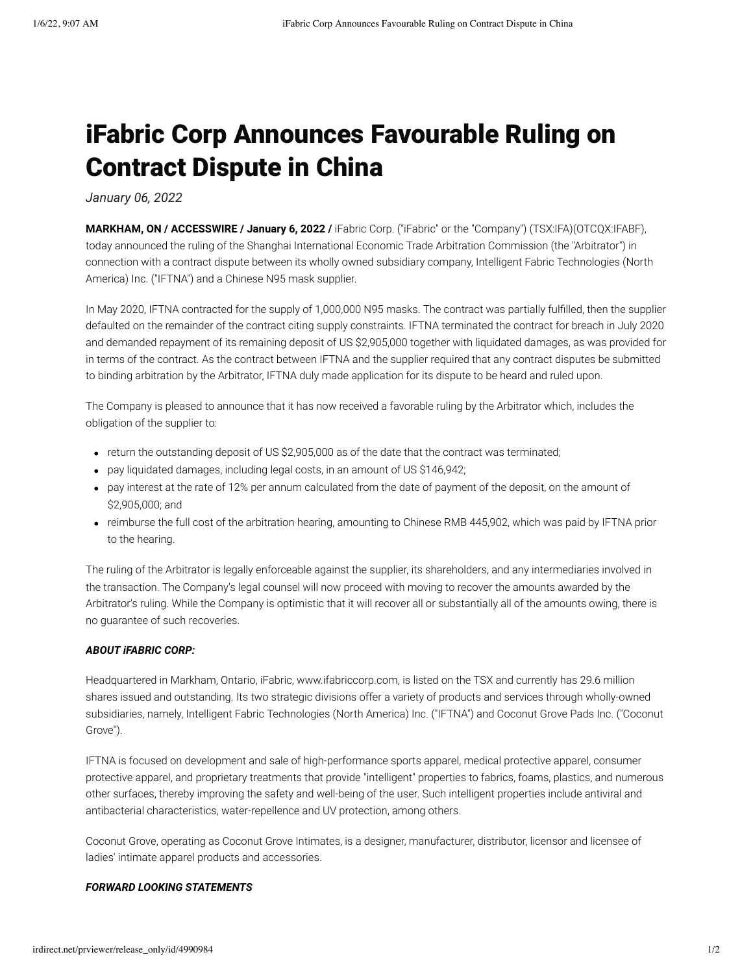# iFabric Corp Announces Favourable Ruling on Contract Dispute in China

*January 06, 2022*

**MARKHAM, ON / ACCESSWIRE / January 6, 2022 /** iFabric Corp. ("iFabric" or the "Company") (TSX:IFA)(OTCQX:IFABF), today announced the ruling of the Shanghai International Economic Trade Arbitration Commission (the "Arbitrator") in connection with a contract dispute between its wholly owned subsidiary company, Intelligent Fabric Technologies (North America) Inc. ("IFTNA") and a Chinese N95 mask supplier.

In May 2020, IFTNA contracted for the supply of 1,000,000 N95 masks. The contract was partially fulfilled, then the supplier defaulted on the remainder of the contract citing supply constraints. IFTNA terminated the contract for breach in July 2020 and demanded repayment of its remaining deposit of US \$2,905,000 together with liquidated damages, as was provided for in terms of the contract. As the contract between IFTNA and the supplier required that any contract disputes be submitted to binding arbitration by the Arbitrator, IFTNA duly made application for its dispute to be heard and ruled upon.

The Company is pleased to announce that it has now received a favorable ruling by the Arbitrator which, includes the obligation of the supplier to:

- return the outstanding deposit of US \$2,905,000 as of the date that the contract was terminated;
- pay liquidated damages, including legal costs, in an amount of US \$146,942;
- pay interest at the rate of 12% per annum calculated from the date of payment of the deposit, on the amount of \$2,905,000; and
- reimburse the full cost of the arbitration hearing, amounting to Chinese RMB 445,902, which was paid by IFTNA prior to the hearing.

The ruling of the Arbitrator is legally enforceable against the supplier, its shareholders, and any intermediaries involved in the transaction. The Company's legal counsel will now proceed with moving to recover the amounts awarded by the Arbitrator's ruling. While the Company is optimistic that it will recover all or substantially all of the amounts owing, there is no guarantee of such recoveries.

### *ABOUT iFABRIC CORP:*

Headquartered in Markham, Ontario, iFabric, www.ifabriccorp.com, is listed on the TSX and currently has 29.6 million shares issued and outstanding. Its two strategic divisions offer a variety of products and services through wholly-owned subsidiaries, namely, Intelligent Fabric Technologies (North America) Inc. ("IFTNA") and Coconut Grove Pads Inc. ("Coconut Grove").

IFTNA is focused on development and sale of high-performance sports apparel, medical protective apparel, consumer protective apparel, and proprietary treatments that provide "intelligent" properties to fabrics, foams, plastics, and numerous other surfaces, thereby improving the safety and well-being of the user. Such intelligent properties include antiviral and antibacterial characteristics, water-repellence and UV protection, among others.

Coconut Grove, operating as Coconut Grove Intimates, is a designer, manufacturer, distributor, licensor and licensee of ladies' intimate apparel products and accessories.

#### *FORWARD LOOKING STATEMENTS*